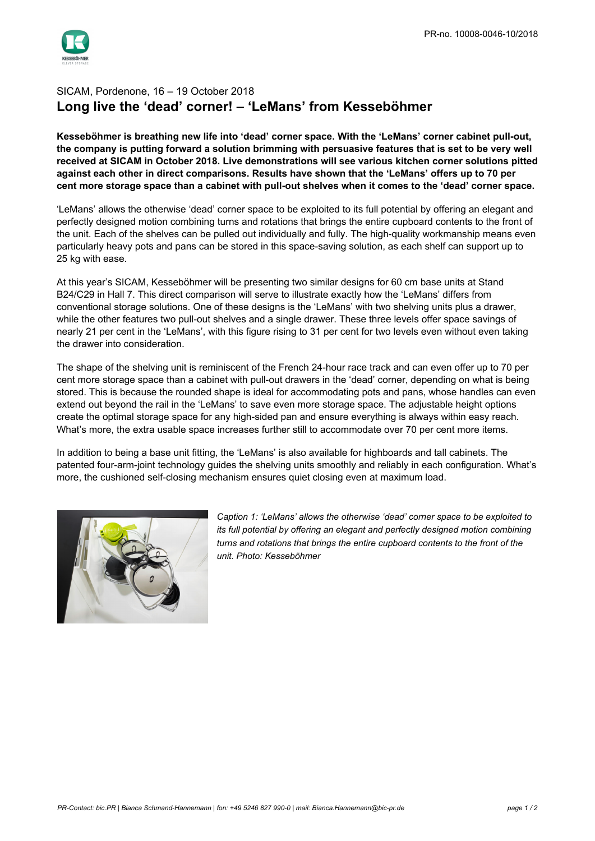## SICAM, Pordenone, 16 – 19 October 2018 **Long live the 'dead' corner! – 'LeMans' from Kesseböhmer**

**Kesseböhmer is breathing new life into 'dead' corner space. With the 'LeMans' corner cabinet pull-out, the company is putting forward a solution brimming with persuasive features that is set to be very well received at SICAM in October 2018. Live demonstrations will see various kitchen corner solutions pitted against each other in direct comparisons. Results have shown that the 'LeMans' offers up to 70 per cent more storage space than a cabinet with pull-out shelves when it comes to the 'dead' corner space.**

'LeMans' allows the otherwise 'dead' corner space to be exploited to its full potential by offering an elegant and perfectly designed motion combining turns and rotations that brings the entire cupboard contents to the front of the unit. Each of the shelves can be pulled out individually and fully. The high-quality workmanship means even particularly heavy pots and pans can be stored in this space-saving solution, as each shelf can support up to 25 kg with ease.

At this year's SICAM, Kesseböhmer will be presenting two similar designs for 60 cm base units at Stand B24/C29 in Hall 7. This direct comparison will serve to illustrate exactly how the 'LeMans' differs from conventional storage solutions. One of these designs is the 'LeMans' with two shelving units plus a drawer, while the other features two pull-out shelves and a single drawer. These three levels offer space savings of nearly 21 per cent in the 'LeMans', with this figure rising to 31 per cent for two levels even without even taking the drawer into consideration.

The shape of the shelving unit is reminiscent of the French 24-hour race track and can even offer up to 70 per cent more storage space than a cabinet with pull-out drawers in the 'dead' corner, depending on what is being stored. This is because the rounded shape is ideal for accommodating pots and pans, whose handles can even extend out beyond the rail in the 'LeMans' to save even more storage space. The adjustable height options create the optimal storage space for any high-sided pan and ensure everything is always within easy reach. What's more, the extra usable space increases further still to accommodate over 70 per cent more items.

In addition to being a base unit fitting, the 'LeMans' is also available for highboards and tall cabinets. The patented four-arm-joint technology guides the shelving units smoothly and reliably in each configuration. What's more, the cushioned self-closing mechanism ensures quiet closing even at maximum load.



*Caption 1: 'LeMans' allows the otherwise 'dead' corner space to be exploited to its full potential by offering an elegant and perfectly designed motion combining turns and rotations that brings the entire cupboard contents to the front of the unit. Photo: Kesseböhmer*